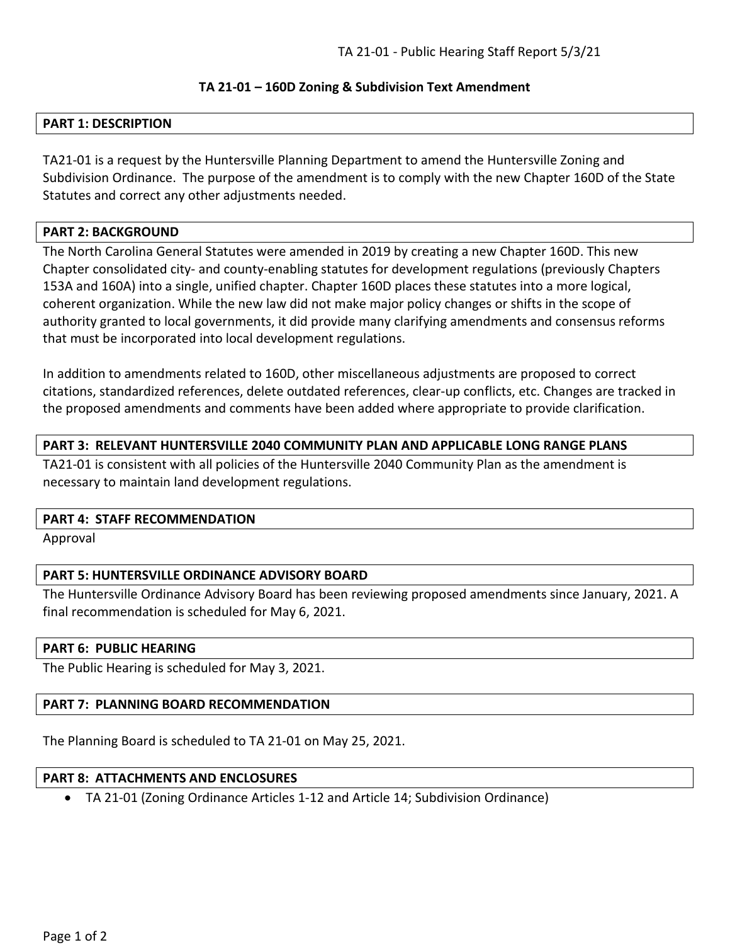## **TA 21-01 – 160D Zoning & Subdivision Text Amendment**

### **PART 1: DESCRIPTION**

TA21-01 is a request by the Huntersville Planning Department to amend the Huntersville Zoning and Subdivision Ordinance. The purpose of the amendment is to comply with the new Chapter 160D of the State Statutes and correct any other adjustments needed.

### **PART 2: BACKGROUND**

The North Carolina General Statutes were amended in 2019 by creating a new Chapter 160D. This new Chapter consolidated city- and county-enabling statutes for development regulations (previously Chapters 153A and 160A) into a single, unified chapter. Chapter 160D places these statutes into a more logical, coherent organization. While the new law did not make major policy changes or shifts in the scope of authority granted to local governments, it did provide many clarifying amendments and consensus reforms that must be incorporated into local development regulations.

In addition to amendments related to 160D, other miscellaneous adjustments are proposed to correct citations, standardized references, delete outdated references, clear-up conflicts, etc. Changes are tracked in the proposed amendments and comments have been added where appropriate to provide clarification.

# **PART 3: RELEVANT HUNTERSVILLE 2040 COMMUNITY PLAN AND APPLICABLE LONG RANGE PLANS**

TA21-01 is consistent with all policies of the Huntersville 2040 Community Plan as the amendment is necessary to maintain land development regulations.

#### **PART 4: STAFF RECOMMENDATION**

Approval

# **PART 5: HUNTERSVILLE ORDINANCE ADVISORY BOARD**

The Huntersville Ordinance Advisory Board has been reviewing proposed amendments since January, 2021. A final recommendation is scheduled for May 6, 2021.

# **PART 6: PUBLIC HEARING**

The Public Hearing is scheduled for May 3, 2021.

#### **PART 7: PLANNING BOARD RECOMMENDATION**

The Planning Board is scheduled to TA 21-01 on May 25, 2021.

#### **PART 8: ATTACHMENTS AND ENCLOSURES**

• TA 21-01 (Zoning Ordinance Articles 1-12 and Article 14; Subdivision Ordinance)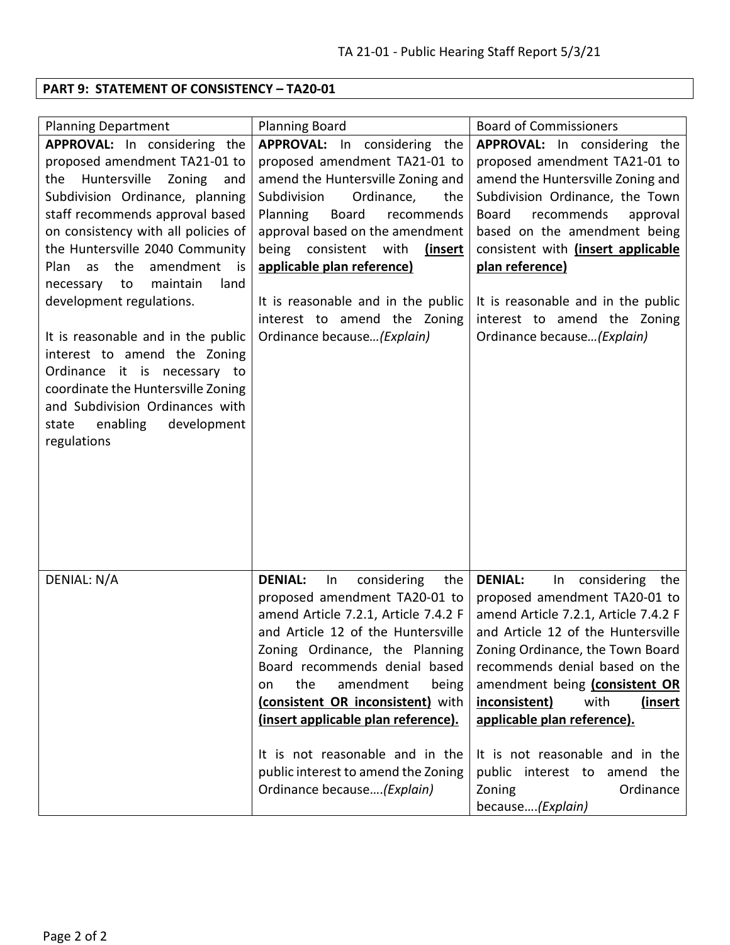# **PART 9: STATEMENT OF CONSISTENCY – TA20-01**

| <b>Planning Department</b>                                                  | <b>Planning Board</b>                                                 | <b>Board of Commissioners</b>                                         |
|-----------------------------------------------------------------------------|-----------------------------------------------------------------------|-----------------------------------------------------------------------|
| APPROVAL: In considering the                                                | APPROVAL: In considering the                                          | APPROVAL: In considering the                                          |
| proposed amendment TA21-01 to                                               | proposed amendment TA21-01 to                                         | proposed amendment TA21-01 to                                         |
| Huntersville<br>the<br>Zoning<br>and                                        | amend the Huntersville Zoning and                                     | amend the Huntersville Zoning and                                     |
| Subdivision Ordinance, planning                                             | Ordinance,<br>Subdivision<br>the                                      | Subdivision Ordinance, the Town                                       |
| staff recommends approval based                                             | <b>Planning</b><br><b>Board</b><br>recommends                         | recommends<br><b>Board</b><br>approval                                |
| on consistency with all policies of                                         | approval based on the amendment                                       | based on the amendment being                                          |
| the Huntersville 2040 Community                                             | being consistent with<br>(insert                                      | consistent with (insert applicable                                    |
| amendment<br>Plan<br>as<br>the<br>is<br>to<br>maintain<br>necessary<br>land | applicable plan reference)                                            | plan reference)                                                       |
| development regulations.                                                    | It is reasonable and in the public                                    | It is reasonable and in the public                                    |
|                                                                             | interest to amend the Zoning                                          | interest to amend the Zoning                                          |
| It is reasonable and in the public                                          | Ordinance because (Explain)                                           | Ordinance because (Explain)                                           |
| interest to amend the Zoning                                                |                                                                       |                                                                       |
| Ordinance it is necessary to                                                |                                                                       |                                                                       |
| coordinate the Huntersville Zoning                                          |                                                                       |                                                                       |
| and Subdivision Ordinances with                                             |                                                                       |                                                                       |
| enabling<br>development<br>state                                            |                                                                       |                                                                       |
| regulations                                                                 |                                                                       |                                                                       |
|                                                                             |                                                                       |                                                                       |
|                                                                             |                                                                       |                                                                       |
|                                                                             |                                                                       |                                                                       |
|                                                                             |                                                                       |                                                                       |
|                                                                             |                                                                       |                                                                       |
|                                                                             |                                                                       |                                                                       |
| DENIAL: N/A                                                                 | <b>DENIAL:</b><br>In<br>considering<br>the                            | <b>DENIAL:</b><br>In considering the                                  |
|                                                                             | proposed amendment TA20-01 to<br>amend Article 7.2.1, Article 7.4.2 F | proposed amendment TA20-01 to<br>amend Article 7.2.1, Article 7.4.2 F |
|                                                                             | and Article 12 of the Huntersville                                    | and Article 12 of the Huntersville                                    |
|                                                                             | Zoning Ordinance, the Planning                                        | Zoning Ordinance, the Town Board                                      |
|                                                                             | Board recommends denial based                                         | recommends denial based on the                                        |
|                                                                             | the<br>amendment<br>being<br>on                                       | amendment being (consistent OR                                        |
|                                                                             | (consistent OR inconsistent) with                                     | inconsistent)<br>with<br>(insert                                      |
|                                                                             | (insert applicable plan reference).                                   | applicable plan reference).                                           |
|                                                                             |                                                                       |                                                                       |
|                                                                             | It is not reasonable and in the                                       | It is not reasonable and in the                                       |
|                                                                             | public interest to amend the Zoning                                   | public interest to amend the                                          |
|                                                                             | Ordinance because(Explain)                                            | Zoning<br>Ordinance                                                   |
|                                                                             |                                                                       | because(Explain)                                                      |